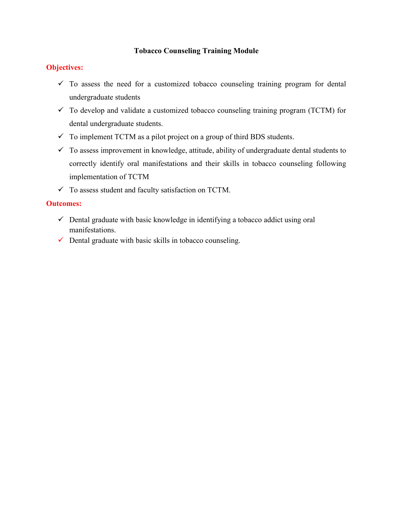### Tobacco Counseling Training Module

### Objectives:

- $\checkmark$  To assess the need for a customized tobacco counseling training program for dental undergraduate students
- $\checkmark$  To develop and validate a customized tobacco counseling training program (TCTM) for dental undergraduate students.
- $\checkmark$  To implement TCTM as a pilot project on a group of third BDS students.
- $\checkmark$  To assess improvement in knowledge, attitude, ability of undergraduate dental students to correctly identify oral manifestations and their skills in tobacco counseling following implementation of TCTM
- $\checkmark$  To assess student and faculty satisfaction on TCTM.

#### Outcomes:

- $\checkmark$  Dental graduate with basic knowledge in identifying a tobacco addict using oral manifestations.
- $\checkmark$  Dental graduate with basic skills in tobacco counseling.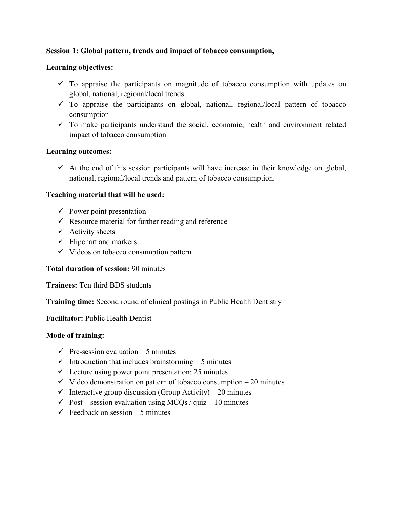### Session 1: Global pattern, trends and impact of tobacco consumption,

#### Learning objectives:

- $\checkmark$  To appraise the participants on magnitude of tobacco consumption with updates on global, national, regional/local trends
- $\checkmark$  To appraise the participants on global, national, regional/local pattern of tobacco consumption
- $\checkmark$  To make participants understand the social, economic, health and environment related impact of tobacco consumption

### Learning outcomes:

 $\checkmark$  At the end of this session participants will have increase in their knowledge on global, national, regional/local trends and pattern of tobacco consumption.

### Teaching material that will be used:

- $\checkmark$  Power point presentation
- $\checkmark$  Resource material for further reading and reference
- $\checkmark$  Activity sheets
- $\checkmark$  Flipchart and markers
- $\checkmark$  Videos on tobacco consumption pattern

#### Total duration of session: 90 minutes

Trainees: Ten third BDS students

Training time: Second round of clinical postings in Public Health Dentistry

Facilitator: Public Health Dentist

- $\checkmark$  Pre-session evaluation 5 minutes
- $\checkmark$  Introduction that includes brainstorming 5 minutes
- $\checkmark$  Lecture using power point presentation: 25 minutes
- $\checkmark$  Video demonstration on pattern of tobacco consumption 20 minutes
- $\checkmark$  Interactive group discussion (Group Activity) 20 minutes
- $\checkmark$  Post session evaluation using MCQs / quiz 10 minutes
- $\checkmark$  Feedback on session 5 minutes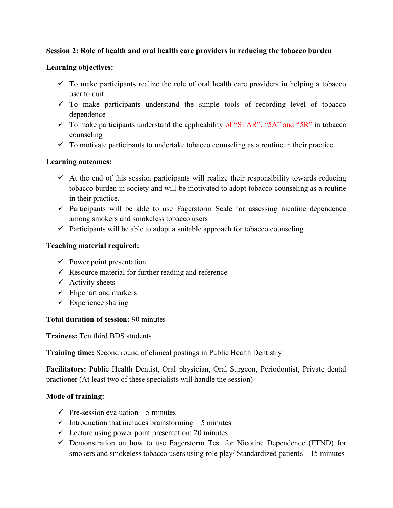## Session 2: Role of health and oral health care providers in reducing the tobacco burden

#### Learning objectives:

- $\checkmark$  To make participants realize the role of oral health care providers in helping a tobacco user to quit
- $\checkmark$  To make participants understand the simple tools of recording level of tobacco dependence
- $\checkmark$  To make participants understand the applicability of "STAR", "5A" and "5R" in tobacco counseling
- $\checkmark$  To motivate participants to undertake tobacco counseling as a routine in their practice

## Learning outcomes:

- $\checkmark$  At the end of this session participants will realize their responsibility towards reducing tobacco burden in society and will be motivated to adopt tobacco counseling as a routine in their practice.
- $\checkmark$  Participants will be able to use Fagerstorm Scale for assessing nicotine dependence among smokers and smokeless tobacco users
- $\checkmark$  Participants will be able to adopt a suitable approach for tobacco counseling

## Teaching material required:

- $\checkmark$  Power point presentation
- $\checkmark$  Resource material for further reading and reference
- $\checkmark$  Activity sheets
- $\checkmark$  Flipchart and markers
- $\checkmark$  Experience sharing

#### Total duration of session: 90 minutes

Trainees: Ten third BDS students

Training time: Second round of clinical postings in Public Health Dentistry

Facilitators: Public Health Dentist, Oral physician, Oral Surgeon, Periodontist, Private dental practioner (At least two of these specialists will handle the session)

- $\checkmark$  Pre-session evaluation 5 minutes
- $\checkmark$  Introduction that includes brainstorming 5 minutes
- $\checkmark$  Lecture using power point presentation: 20 minutes
- $\checkmark$  Demonstration on how to use Fagerstorm Test for Nicotine Dependence (FTND) for smokers and smokeless tobacco users using role play/ Standardized patients – 15 minutes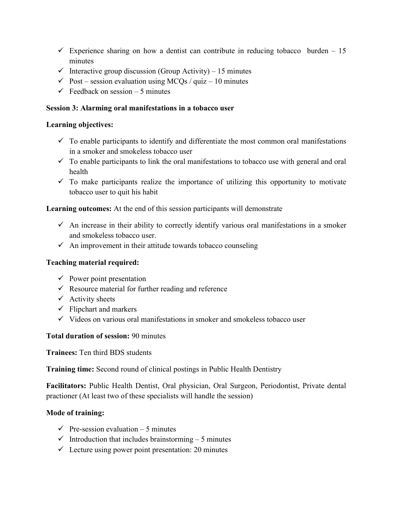- Experience sharing on how a dentist can contribute in reducing tobacco burden  $-15$ minutes
- $\checkmark$  Interactive group discussion (Group Activity) 15 minutes
- $\checkmark$  Post session evaluation using MCQs / quiz 10 minutes
- $\checkmark$  Feedback on session 5 minutes

### Session 3: Alarming oral manifestations in a tobacco user

### Learning objectives:

- $\checkmark$  To enable participants to identify and differentiate the most common oral manifestations in a smoker and smokeless tobacco user
- $\checkmark$  To enable participants to link the oral manifestations to tobacco use with general and oral health
- $\checkmark$  To make participants realize the importance of utilizing this opportunity to motivate tobacco user to quit his habit

## Learning outcomes: At the end of this session participants will demonstrate

- $\checkmark$  An increase in their ability to correctly identify various oral manifestations in a smoker and smokeless tobacco user.
- $\checkmark$  An improvement in their attitude towards tobacco counseling

## Teaching material required:

- $\checkmark$  Power point presentation
- $\checkmark$  Resource material for further reading and reference
- $\checkmark$  Activity sheets
- $\checkmark$  Flipchart and markers
- $\checkmark$  Videos on various oral manifestations in smoker and smokeless tobacco user

## Total duration of session: 90 minutes

Trainees: Ten third BDS students

Training time: Second round of clinical postings in Public Health Dentistry

Facilitators: Public Health Dentist, Oral physician, Oral Surgeon, Periodontist, Private dental practioner (At least two of these specialists will handle the session)

- $\checkmark$  Pre-session evaluation 5 minutes
- $\checkmark$  Introduction that includes brainstorming 5 minutes
- $\checkmark$  Lecture using power point presentation: 20 minutes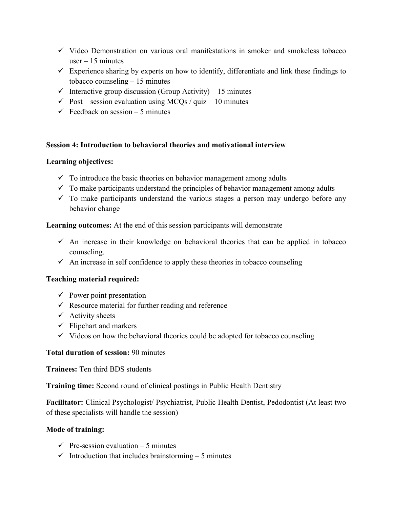- $\checkmark$  Video Demonstration on various oral manifestations in smoker and smokeless tobacco user  $-15$  minutes
- $\checkmark$  Experience sharing by experts on how to identify, differentiate and link these findings to tobacco counseling – 15 minutes
- $\checkmark$  Interactive group discussion (Group Activity) 15 minutes
- $\checkmark$  Post session evaluation using MCOs / quiz 10 minutes
- $\checkmark$  Feedback on session 5 minutes

### Session 4: Introduction to behavioral theories and motivational interview

### Learning objectives:

- $\checkmark$  To introduce the basic theories on behavior management among adults
- $\checkmark$  To make participants understand the principles of behavior management among adults
- $\checkmark$  To make participants understand the various stages a person may undergo before any behavior change

Learning outcomes: At the end of this session participants will demonstrate

- $\checkmark$  An increase in their knowledge on behavioral theories that can be applied in tobacco counseling.
- $\checkmark$  An increase in self confidence to apply these theories in tobacco counseling

#### Teaching material required:

- $\checkmark$  Power point presentation
- $\checkmark$  Resource material for further reading and reference
- $\checkmark$  Activity sheets
- $\checkmark$  Flipchart and markers
- $\checkmark$  Videos on how the behavioral theories could be adopted for tobacco counseling

#### Total duration of session: 90 minutes

Trainees: Ten third BDS students

Training time: Second round of clinical postings in Public Health Dentistry

Facilitator: Clinical Psychologist/ Psychiatrist, Public Health Dentist, Pedodontist (At least two of these specialists will handle the session)

- $\checkmark$  Pre-session evaluation 5 minutes
- $\checkmark$  Introduction that includes brainstorming 5 minutes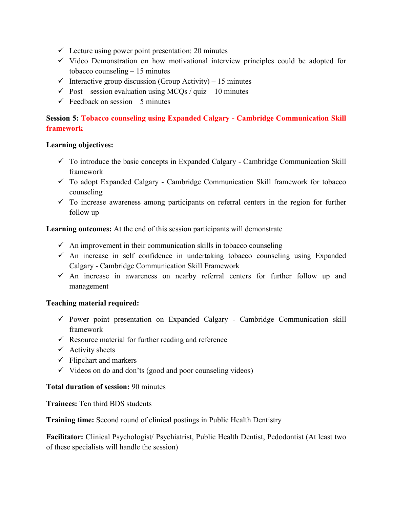- $\checkmark$  Lecture using power point presentation: 20 minutes
- $\checkmark$  Video Demonstration on how motivational interview principles could be adopted for tobacco counseling – 15 minutes
- $\checkmark$  Interactive group discussion (Group Activity) 15 minutes
- $\checkmark$  Post session evaluation using MCQs / quiz 10 minutes
- $\checkmark$  Feedback on session 5 minutes

# Session 5: Tobacco counseling using Expanded Calgary - Cambridge Communication Skill framework

### Learning objectives:

- $\checkmark$  To introduce the basic concepts in Expanded Calgary Cambridge Communication Skill framework
- $\checkmark$  To adopt Expanded Calgary Cambridge Communication Skill framework for tobacco counseling
- $\checkmark$  To increase awareness among participants on referral centers in the region for further follow up

Learning outcomes: At the end of this session participants will demonstrate

- $\checkmark$  An improvement in their communication skills in tobacco counseling
- $\checkmark$  An increase in self confidence in undertaking tobacco counseling using Expanded Calgary - Cambridge Communication Skill Framework
- $\checkmark$  An increase in awareness on nearby referral centers for further follow up and management

## Teaching material required:

- $\checkmark$  Power point presentation on Expanded Calgary Cambridge Communication skill framework
- $\checkmark$  Resource material for further reading and reference
- $\checkmark$  Activity sheets
- $\checkmark$  Flipchart and markers
- $\checkmark$  Videos on do and don'ts (good and poor counseling videos)

## Total duration of session: 90 minutes

Trainees: Ten third BDS students

Training time: Second round of clinical postings in Public Health Dentistry

Facilitator: Clinical Psychologist/ Psychiatrist, Public Health Dentist, Pedodontist (At least two of these specialists will handle the session)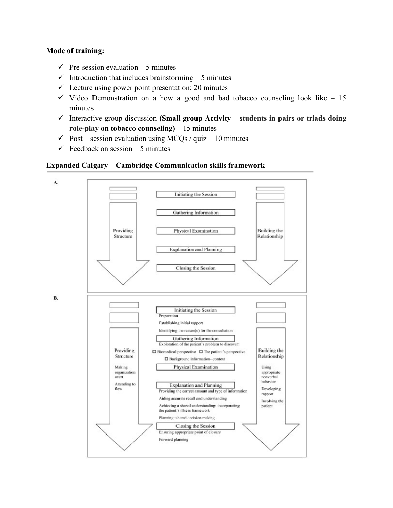### Mode of training:

- $\checkmark$  Pre-session evaluation 5 minutes
- $\checkmark$  Introduction that includes brainstorming 5 minutes
- $\checkmark$  Lecture using power point presentation: 20 minutes
- $\checkmark$  Video Demonstration on a how a good and bad tobacco counseling look like 15 minutes
- $\checkmark$  Interactive group discussion (Small group Activity students in pairs or triads doing role-play on tobacco counseling)  $-15$  minutes
- $\checkmark$  Post session evaluation using MCQs / quiz 10 minutes
- $\checkmark$  Feedback on session 5 minutes

### Expanded Calgary – Cambridge Communication skills framework